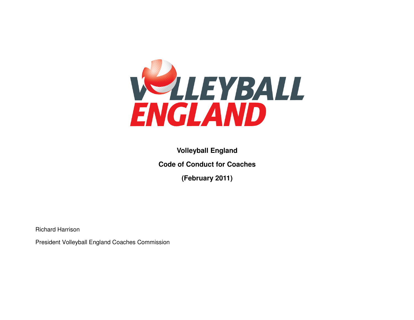

**Volleyball England Code of Conduct for Coaches** 

**(February 2011)** 

Richard Harrison

President Volleyball England Coaches Commission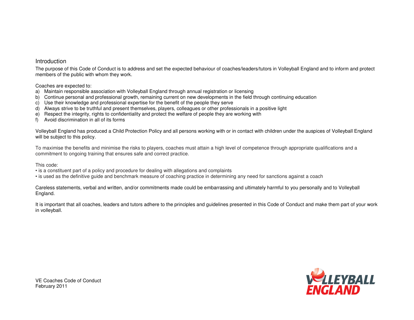## Introduction

The purpose of this Code of Conduct is to address and set the expected behaviour of coaches/leaders/tutors in Volleyball England and to inform and protect members of the public with whom they work.

Coaches are expected to:

- a) Maintain responsible association with Volleyball England through annual registration or licensing
- b) Continue personal and professional growth, remaining current on new developments in the field through continuing education
- c) Use their knowledge and professional expertise for the benefit of the people they serve
- d) Always strive to be truthful and present themselves, players, colleagues or other professionals in a positive light
- e) Respect the integrity, rights to confidentiality and protect the welfare of people they are working with
- f) Avoid discrimination in all of its forms

Volleyball England has produced a Child Protection Policy and all persons working with or in contact with children under the auspices of Volleyball England will be subject to this policy.

To maximise the benefits and minimise the risks to players, coaches must attain a high level of competence through appropriate qualifications and a commitment to ongoing training that ensures safe and correct practice.

This code:

• is a constituent part of a policy and procedure for dealing with allegations and complaints

• is used as the definitive guide and benchmark measure of coaching practice in determining any need for sanctions against a coach

Careless statements, verbal and written, and/or commitments made could be embarrassing and ultimately harmful to you personally and to Volleyball England.

It is important that all coaches, leaders and tutors adhere to the principles and guidelines presented in this Code of Conduct and make them part of your work in volleyball.



VE Coaches Code of Conduct February 2011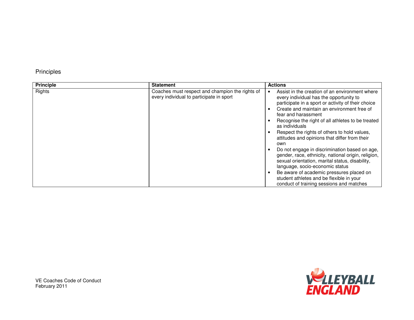## Principles

| <b>Principle</b> | <b>Statement</b>                                                                            | <b>Actions</b>                                                                                                                                                                                                                                                                                                                                                                                                                                                                                                                                                                                                                                                                                                                                                                                              |
|------------------|---------------------------------------------------------------------------------------------|-------------------------------------------------------------------------------------------------------------------------------------------------------------------------------------------------------------------------------------------------------------------------------------------------------------------------------------------------------------------------------------------------------------------------------------------------------------------------------------------------------------------------------------------------------------------------------------------------------------------------------------------------------------------------------------------------------------------------------------------------------------------------------------------------------------|
| Rights           | Coaches must respect and champion the rights of<br>every individual to participate in sport | Assist in the creation of an environment where<br>$\bullet$<br>every individual has the opportunity to<br>participate in a sport or activity of their choice<br>Create and maintain an environment free of<br>$\bullet$<br>fear and harassment<br>Recognise the right of all athletes to be treated<br>٠<br>as individuals<br>Respect the rights of others to hold values,<br>$\bullet$<br>attitudes and opinions that differ from their<br>own<br>Do not engage in discrimination based on age,<br>$\bullet$<br>gender, race, ethnicity, national origin, religion,<br>sexual orientation, marital status, disability,<br>language, socio-economic status<br>Be aware of academic pressures placed on<br>$\bullet$<br>student athletes and be flexible in your<br>conduct of training sessions and matches |



VE Coaches Code of Conduct February 2011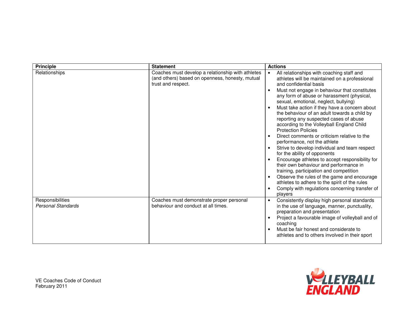| <b>Principle</b>                              | <b>Statement</b>                                                                                                           | <b>Actions</b>                                                                                                                                                                                                                                                                                                                                                                                                                                                                                                                                                                                                                                                                                                                                                                                                                                                                                                                                           |
|-----------------------------------------------|----------------------------------------------------------------------------------------------------------------------------|----------------------------------------------------------------------------------------------------------------------------------------------------------------------------------------------------------------------------------------------------------------------------------------------------------------------------------------------------------------------------------------------------------------------------------------------------------------------------------------------------------------------------------------------------------------------------------------------------------------------------------------------------------------------------------------------------------------------------------------------------------------------------------------------------------------------------------------------------------------------------------------------------------------------------------------------------------|
| Relationships                                 | Coaches must develop a relationship with athletes<br>(and others) based on openness, honesty, mutual<br>trust and respect. | All relationships with coaching staff and<br>athletes will be maintained on a professional<br>and confidential basis<br>Must not engage in behaviour that constitutes<br>any form of abuse or harassment (physical,<br>sexual, emotional, neglect, bullying)<br>Must take action if they have a concern about<br>the behaviour of an adult towards a child by<br>reporting any suspected cases of abuse<br>according to the Volleyball England Child<br><b>Protection Policies</b><br>Direct comments or criticism relative to the<br>performance, not the athlete<br>Strive to develop individual and team respect<br>for the ability of opponents<br>Encourage athletes to accept responsibility for<br>their own behaviour and performance in<br>training, participation and competition<br>Observe the rules of the game and encourage<br>athletes to adhere to the spirit of the rules<br>Comply with regulations concerning transfer of<br>players |
| Responsibilities<br><b>Personal Standards</b> | Coaches must demonstrate proper personal<br>behaviour and conduct at all times.                                            | Consistently display high personal standards<br>$\bullet$<br>in the use of language, manner, punctuality,<br>preparation and presentation<br>Project a favourable image of volleyball and of<br>coaching<br>Must be fair honest and considerate to<br>athletes and to others involved in their sport                                                                                                                                                                                                                                                                                                                                                                                                                                                                                                                                                                                                                                                     |